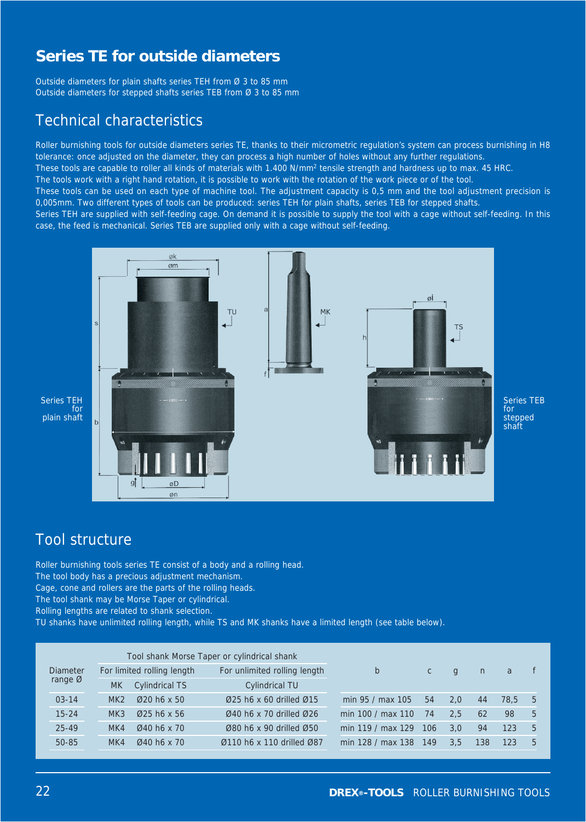Outside diameters for plain shafts series TEH from Ø 3 to 85 mm Outside diameters for stepped shafts series TEB from Ø 3 to 85 mm

### Technical characteristics

Roller burnishing tools for outside diameters series TE, thanks to their micrometric regulation's system can process burnishing in H8 tolerance: once adjusted on the diameter, they can process a high number of holes without any further regulations. These tools are capable to roller all kinds of materials with 1.400 N/mm<sup>2</sup> tensile strength and hardness up to max. 45 HRC. The tools work with a right hand rotation, it is possible to work with the rotation of the work piece or of the tool. These tools can be used on each type of machine tool. The adjustment capacity is 0,5 mm and the tool adjustment precision is 0,005mm. Two different types of tools can be produced: series TEH for plain shafts, series TEB for stepped shafts. Series TEH are supplied with self-feeding cage. On demand it is possible to supply the tool with a cage without self-feeding. In this case, the feed is mechanical. Series TEB are supplied only with a cage without self-feeding.



Series TEB for stepped shaft

### Series TEH plain shaft

## Tool structure

Roller burnishing tools series TE consist of a body and a rolling head. The tool body has a precious adjustment mechanism. Cage, cone and rollers are the parts of the rolling heads. The tool shank may be Morse Taper or cylindrical. Rolling lengths are related to shank selection.

TU shanks have unlimited rolling length, while TS and MK shanks have a limited length (see table below).

|                     |           | Tool shank Morse Taper or cylindrical shank |                                                     |                   |              |              |     |      |   |  |  |  |  |
|---------------------|-----------|---------------------------------------------|-----------------------------------------------------|-------------------|--------------|--------------|-----|------|---|--|--|--|--|
| <b>Diameter</b>     |           | For limited rolling length                  | For unlimited rolling length                        | b                 | $\mathsf{C}$ | $\mathbf{q}$ | n   | a    |   |  |  |  |  |
| range $\varnothing$ | <b>MK</b> | <b>Cylindrical TS</b>                       | <b>Cylindrical TU</b>                               |                   |              |              |     |      |   |  |  |  |  |
| $03 - 14$           | MK2       | $\varnothing$ 20 h6 x 50                    | $\varnothing$ 25 h6 x 60 drilled $\varnothing$ 15   | min 95 / max 105  | 54           | 2.0          | 44  | 78.5 | 5 |  |  |  |  |
| $15 - 24$           | MK3       | $Q25$ h6 x 56                               | 040 h6 x 70 drilled 026                             | min 100 / max 110 | 74           | 2.5          | 62  | 98   | 5 |  |  |  |  |
| $25 - 49$           | MK4       | $Q$ 40 h6 x 70                              | Ø80 h6 x 90 drilled Ø50                             | min 119 / max 129 | 106          | 3.0          | 94  | 123  | 5 |  |  |  |  |
| $50 - 85$           | MK4       | $Q$ 40 h6 x 70                              | $\varnothing$ 110 h6 x 110 drilled $\varnothing$ 87 | min 128 / max 138 | 149          | 3.5          | 138 | 123  | 5 |  |  |  |  |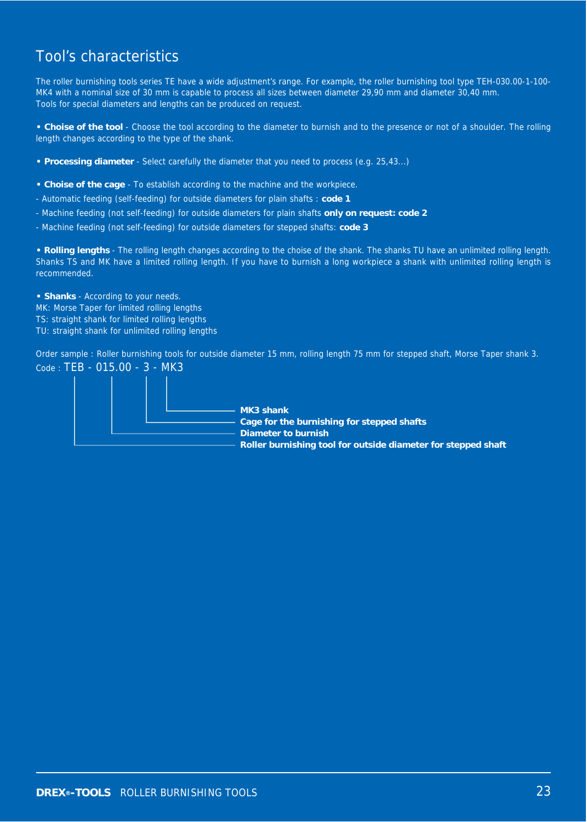## Tool's characteristics

The roller burnishing tools series TE have a wide adjustment's range. For example, the roller burnishing tool type TEH-030.00-1-100- MK4 with a nominal size of 30 mm is capable to process all sizes between diameter 29,90 mm and diameter 30,40 mm. Tools for special diameters and lengths can be produced on request.

**• Choise of the tool** - Choose the tool according to the diameter to burnish and to the presence or not of a shoulder. The rolling length changes according to the type of the shank.

- **Processing diameter**  Select carefully the diameter that you need to process (e.g. 25,43...)
- **Choise of the cage** To establish according to the machine and the workpiece.
- Automatic feeding (self-feeding) for outside diameters for plain shafts : **code 1**
- Machine feeding (not self-feeding) for outside diameters for plain shafts **only on request: code 2**
- Machine feeding (not self-feeding) for outside diameters for stepped shafts: **code 3**

**• Rolling lengths** - The rolling length changes according to the choise of the shank. The shanks TU have an unlimited rolling length. Shanks TS and MK have a limited rolling length. If you have to burnish a long workpiece a shank with unlimited rolling length is recommended.

**• Shanks** - According to your needs. MK: Morse Taper for limited rolling lengths TS: straight shank for limited rolling lengths TU: straight shank for unlimited rolling lengths

Order sample : Roller burnishing tools for outside diameter 15 mm, rolling length 75 mm for stepped shaft, Morse Taper shank 3. Code : TEB - 015.00 - 3 - MK3

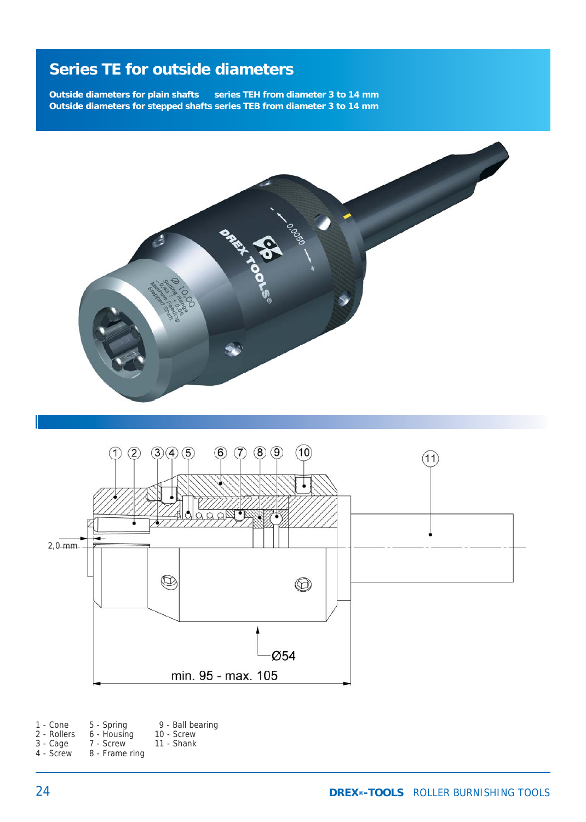**Outside diameters for plain shafts series TEH from diameter 3 to 14 mm Outside diameters for stepped shafts series TEB from diameter 3 to 14 mm**





| 1 - Cone    | 5 - Spring     | 9 - Ball bearing |
|-------------|----------------|------------------|
| 2 - Rollers | 6 - Housing    | 10 - Screw       |
| 3 - Cage    | 7 - Screw      | 11 - Shank       |
| 4 - Screw   | 8 - Frame ring |                  |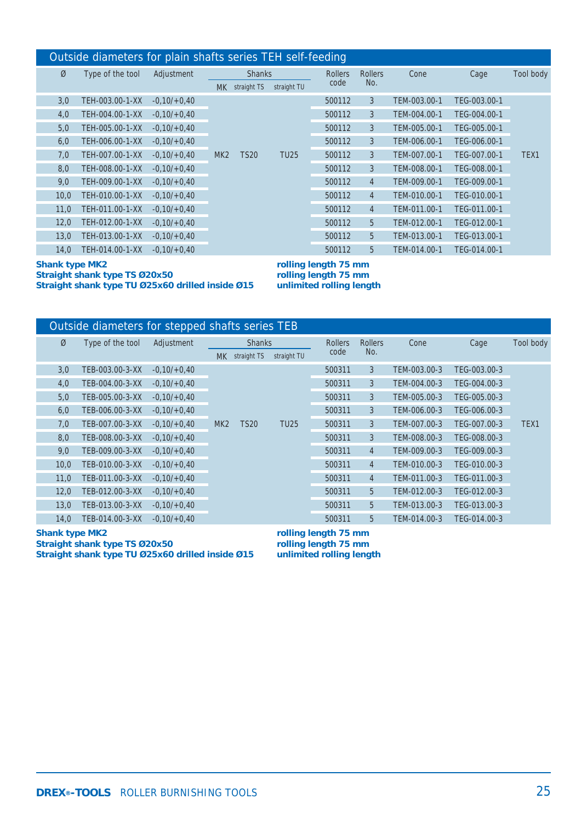### Outside diameters for plain shafts series TEH self-feeding

| Ø    | Type of the tool | Adjustment    | <b>Shanks</b><br>straight TS<br>MK . |             |             | <b>Rollers</b> | <b>Rollers</b> | Cone         | Cage         | Tool body |
|------|------------------|---------------|--------------------------------------|-------------|-------------|----------------|----------------|--------------|--------------|-----------|
|      |                  |               |                                      |             | straight TU | code           | No.            |              |              |           |
| 3,0  | TEH-003.00-1-XX  | $-0,10/+0,40$ |                                      |             |             | 500112         | 3              | TEM-003.00-1 | TEG-003.00-1 |           |
| 4,0  | TEH-004.00-1-XX  | $-0,10/+0,40$ |                                      |             |             | 500112         | 3              | TEM-004.00-1 | TEG-004.00-1 |           |
| 5,0  | TEH-005.00-1-XX  | $-0,10/+0,40$ |                                      |             |             | 500112         | 3              | TEM-005.00-1 | TEG-005.00-1 |           |
| 6,0  | TEH-006.00-1-XX  | $-0,10/+0,40$ |                                      |             |             | 500112         | 3              | TEM-006.00-1 | TEG-006.00-1 |           |
| 7,0  | TEH-007.00-1-XX  | $-0,10/+0,40$ | MK <sub>2</sub>                      | <b>TS20</b> | <b>TU25</b> | 500112         | 3              | TEM-007.00-1 | TEG-007.00-1 | TEX1      |
| 8,0  | TEH-008.00-1-XX  | $-0,10/+0,40$ |                                      |             |             | 500112         | 3              | TEM-008.00-1 | TEG-008.00-1 |           |
| 9,0  | TEH-009.00-1-XX  | $-0,10/+0,40$ |                                      |             |             | 500112         | $\overline{4}$ | TEM-009.00-1 | TEG-009.00-1 |           |
| 10,0 | TEH-010.00-1-XX  | $-0,10/+0,40$ |                                      |             |             | 500112         | $\overline{4}$ | TEM-010.00-1 | TEG-010.00-1 |           |
| 11,0 | TEH-011.00-1-XX  | $-0,10/+0,40$ |                                      |             |             | 500112         | $\overline{4}$ | TEM-011.00-1 | TEG-011.00-1 |           |
| 12,0 | TEH-012.00-1-XX  | $-0,10/+0,40$ |                                      |             |             | 500112         | 5              | TEM-012.00-1 | TEG-012.00-1 |           |
| 13,0 | TEH-013.00-1-XX  | $-0,10/+0,40$ |                                      |             |             | 500112         | 5              | TEM-013.00-1 | TEG-013.00-1 |           |
| 14,0 | TEH-014.00-1-XX  | $-0,10/+0,40$ |                                      |             |             | 500112         | 5              | TEM-014.00-1 | TEG-014.00-1 |           |

**Shank type MK2** rolling length 75 mm<br>Straight shank type TS Ø20x50 rolling length 75 mm Straight shank type TS Ø20x50 rolling length 75 mm<br>Straight shank type TU Ø25x60 drilled inside Ø15 unlimited rolling length **Straight shank type TU Ø25x60 drilled inside Ø15** 

| Outside diameters for stepped shafts series TEB |                  |               |                 |             |             |                |                |              |              |           |  |
|-------------------------------------------------|------------------|---------------|-----------------|-------------|-------------|----------------|----------------|--------------|--------------|-----------|--|
| Ø                                               | Type of the tool | Adjustment    | <b>Shanks</b>   |             |             | <b>Rollers</b> | <b>Rollers</b> | Cone         | Cage         | Tool body |  |
|                                                 |                  |               | MK .            | straight TS | straight TU | code           | No.            |              |              |           |  |
| 3,0                                             | TEB-003.00-3-XX  | $-0,10/+0,40$ |                 |             |             | 500311         | 3              | TEM-003.00-3 | TEG-003.00-3 |           |  |
| 4,0                                             | TEB-004.00-3-XX  | $-0,10/+0,40$ |                 |             |             | 500311         | 3              | TEM-004.00-3 | TEG-004.00-3 |           |  |
| 5,0                                             | TEB-005.00-3-XX  | $-0,10/+0,40$ |                 |             |             | 500311         | 3              | TEM-005.00-3 | TEG-005.00-3 |           |  |
| 6,0                                             | TEB-006.00-3-XX  | $-0,10/+0,40$ |                 |             |             | 500311         | 3              | TEM-006.00-3 | TEG-006.00-3 |           |  |
| 7,0                                             | TEB-007.00-3-XX  | $-0,10/+0,40$ | MK <sub>2</sub> | <b>TS20</b> | <b>TU25</b> | 500311         | 3              | TEM-007.00-3 | TEG-007.00-3 | TEX1      |  |
| 8,0                                             | TEB-008.00-3-XX  | $-0,10/+0,40$ |                 |             |             | 500311         | 3              | TEM-008.00-3 | TEG-008.00-3 |           |  |
| 9,0                                             | TEB-009.00-3-XX  | $-0,10/+0,40$ |                 |             |             | 500311         | $\overline{4}$ | TEM-009.00-3 | TEG-009.00-3 |           |  |
| 10,0                                            | TEB-010.00-3-XX  | $-0,10/+0,40$ |                 |             |             | 500311         | $\overline{4}$ | TEM-010.00-3 | TEG-010.00-3 |           |  |
| 11,0                                            | TEB-011.00-3-XX  | $-0,10/+0,40$ |                 |             |             | 500311         | $\overline{4}$ | TEM-011.00-3 | TEG-011.00-3 |           |  |
| 12,0                                            | TEB-012.00-3-XX  | $-0,10/+0,40$ |                 |             |             | 500311         | 5              | TEM-012.00-3 | TEG-012.00-3 |           |  |
| 13,0                                            | TEB-013.00-3-XX  | $-0,10/+0,40$ |                 |             |             | 500311         | 5              | TEM-013.00-3 | TEG-013.00-3 |           |  |
| 14,0                                            | TEB-014.00-3-XX  | $-0.10/+0.40$ |                 |             |             | 500311         | 5              | TEM-014.00-3 | TEG-014.00-3 |           |  |

**Shank type MK2** rolling length 75 mm<br>Straight shank type TS Ø20x50 rolling length 75 mm Straight shank type TS Ø20x50 rolling length 75 mm<br>Straight shank type TU Ø25x60 drilled inside Ø15 unlimited rolling length **Straight shank type TU Ø25x60 drilled inside Ø15**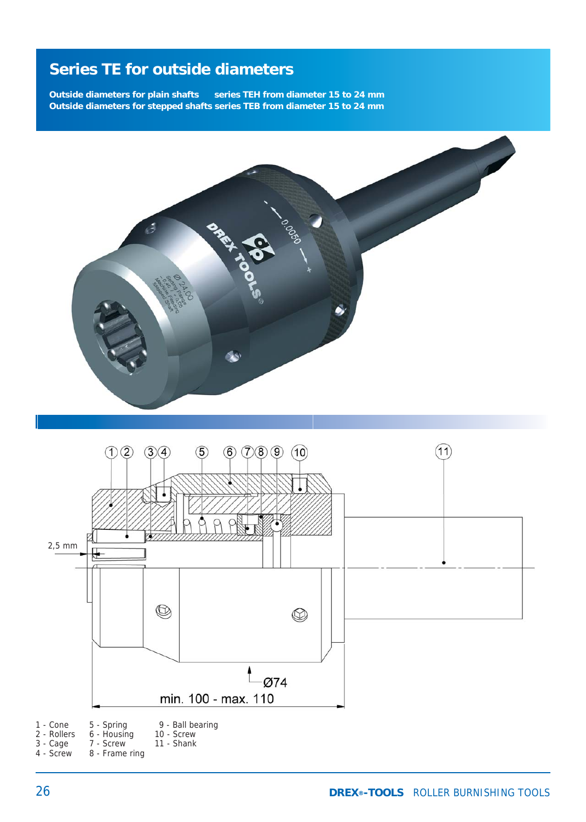**Outside diameters for plain shafts** series TEH from diameter 15 to 24 mm **Outside diameters for stepped shafts series TEB from diameter 15 to 24 mm**



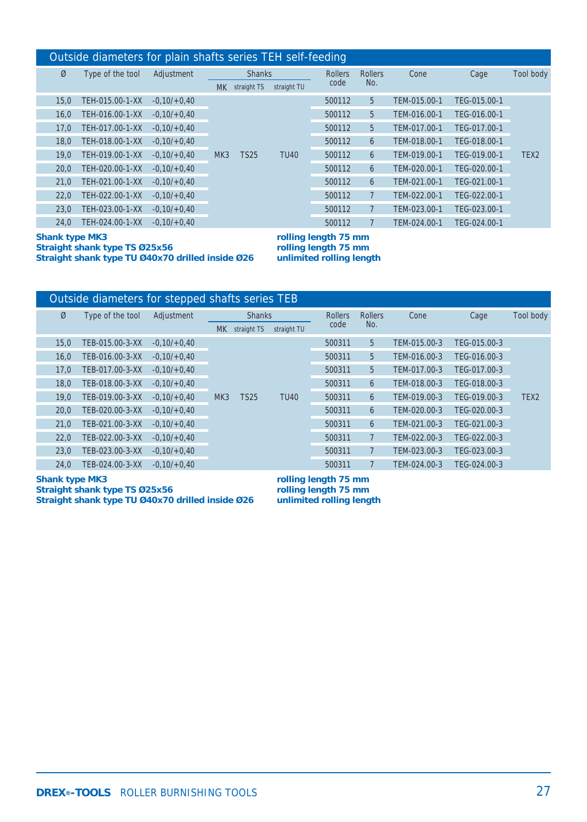### Outside diameters for plain shafts series TEH self-feeding

|      |                  |               |     |               |             | $\overline{\phantom{a}}$ |                |              |              |                  |
|------|------------------|---------------|-----|---------------|-------------|--------------------------|----------------|--------------|--------------|------------------|
| Ø    | Type of the tool | Adjustment    |     | <b>Shanks</b> |             |                          | <b>Rollers</b> | Cone         | Cage         | Tool body        |
|      |                  |               | MK. | straight TS   | straight TU | code                     | No.            |              |              |                  |
| 15.0 | TEH-015.00-1-XX  | $-0.10/+0.40$ |     |               | <b>TU40</b> | 500112                   | 5              | TEM-015.00-1 | TEG-015.00-1 |                  |
| 16,0 | TEH-016.00-1-XX  | $-0,10/+0,40$ |     |               |             | 500112                   | 5              | TEM-016.00-1 | TEG-016.00-1 |                  |
| 17.0 | TEH-017.00-1-XX  | $-0,10/+0,40$ |     |               |             | 500112                   | 5              | TEM-017.00-1 | TEG-017.00-1 |                  |
| 18.0 | TEH-018.00-1-XX  | $-0.10/+0.40$ |     |               |             | 500112                   | 6              | TEM-018.00-1 | TEG-018.00-1 |                  |
| 19.0 | TEH-019.00-1-XX  | $-0.10/+0.40$ | MK3 | <b>TS25</b>   |             | 500112                   | 6              | TEM-019.00-1 | TEG-019.00-1 | TEX <sub>2</sub> |
| 20.0 | TEH-020.00-1-XX  | $-0.10/+0.40$ |     |               |             | 500112                   | 6              | TEM-020.00-1 | TEG-020.00-1 |                  |
| 21.0 | TEH-021.00-1-XX  | $-0,10/+0,40$ |     |               |             | 500112                   | 6              | TEM-021.00-1 | TEG-021.00-1 |                  |
| 22,0 | TEH-022.00-1-XX  | $-0,10/+0,40$ |     |               |             | 500112                   |                | TEM-022.00-1 | TEG-022.00-1 |                  |
| 23.0 | TEH-023.00-1-XX  | $-0.10/+0.40$ |     |               |             | 500112                   |                | TEM-023.00-1 | TEG-023.00-1 |                  |
| 24.0 | TEH-024.00-1-XX  | $-0.10/+0.40$ |     |               |             | 500112                   |                | TEM-024.00-1 | TEG-024.00-1 |                  |

#### **Shank type MK3** rolling length 75 mm<br>Straight shank type TS Ø25x56 rolling length 75 mm Straight shank type TS Ø25x56 rolling length 75 mm<br>Straight shank type TU Ø40x70 drilled inside Ø26 unlimited rolling length **Straight shank type TU Ø40x70 drilled inside Ø26**

| Outside diameters for stepped shafts series TEB |                  |               |                 |               |                |                |      |              |              |                  |  |  |
|-------------------------------------------------|------------------|---------------|-----------------|---------------|----------------|----------------|------|--------------|--------------|------------------|--|--|
| Ø                                               | Type of the tool | Adjustment    |                 | <b>Shanks</b> | <b>Rollers</b> | <b>Rollers</b> | Cone | Cage         | Tool body    |                  |  |  |
|                                                 |                  |               | <b>MK</b>       | straight TS   | straight TU    | code           | No.  |              |              |                  |  |  |
| 15,0                                            | TEB-015.00-3-XX  | $-0,10/+0,40$ |                 |               |                | 500311         | 5    | TEM-015.00-3 | TEG-015.00-3 |                  |  |  |
| 16,0                                            | TEB-016.00-3-XX  | $-0,10/+0,40$ |                 |               |                | 500311         | 5    | TEM-016.00-3 | TEG-016.00-3 |                  |  |  |
| 17,0                                            | TEB-017.00-3-XX  | $-0.10/+0.40$ |                 |               |                | 500311         | 5    | TEM-017.00-3 | TEG-017.00-3 |                  |  |  |
| 18,0                                            | TEB-018.00-3-XX  | $-0.10/+0.40$ |                 |               |                | 500311         | 6    | TEM-018.00-3 | TEG-018.00-3 |                  |  |  |
| 19.0                                            | TEB-019.00-3-XX  | $-0,10/+0,40$ | MK <sub>3</sub> | <b>TS25</b>   | <b>TU40</b>    | 500311         | 6    | TEM-019.00-3 | TEG-019.00-3 | TEX <sub>2</sub> |  |  |
| 20,0                                            | TEB-020.00-3-XX  | $-0,10/+0,40$ |                 |               |                | 500311         | 6    | TEM-020.00-3 | TEG-020.00-3 |                  |  |  |
| 21,0                                            | TEB-021.00-3-XX  | $-0.10/+0.40$ |                 |               |                | 500311         | 6    | TEM-021.00-3 | TEG-021.00-3 |                  |  |  |
| 22,0                                            | TEB-022.00-3-XX  | $-0.10/+0.40$ |                 |               |                | 500311         |      | TEM-022.00-3 | TEG-022.00-3 |                  |  |  |
| 23,0                                            | TEB-023.00-3-XX  | $-0,10/+0,40$ |                 |               |                | 500311         |      | TEM-023.00-3 | TEG-023.00-3 |                  |  |  |
| 24,0                                            | TEB-024.00-3-XX  | $-0.10/+0.40$ |                 |               |                | 500311         |      | TEM-024.00-3 | TEG-024.00-3 |                  |  |  |

**Shank type MK3** rolling length 75 mm<br>Straight shank type TS Ø25x56 rolling length 75 mm **Straight shank type TS Ø25x56 Straight shank type TU Ø40x70 drilled inside Ø26 unlimited rolling length**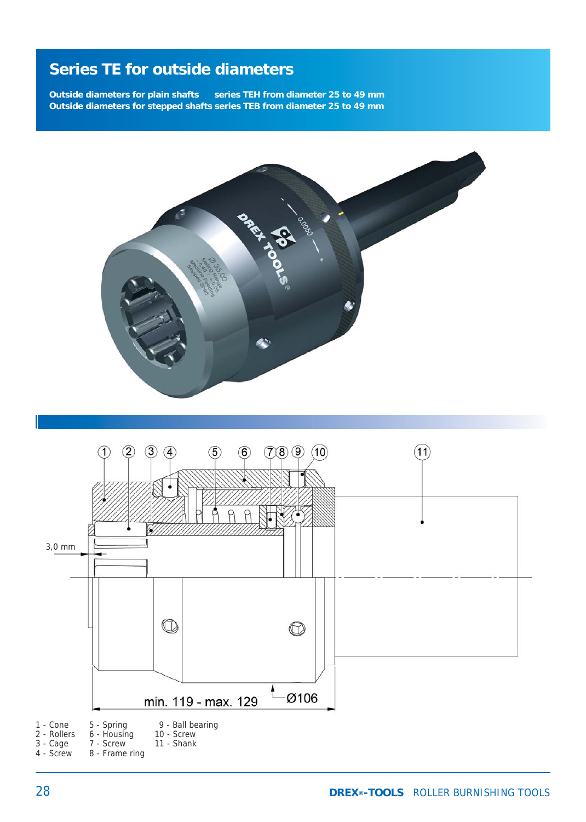**Outside diameters for plain shafts** series TEH from diameter 25 to 49 mm **Outside diameters for stepped shafts series TEB from diameter 25 to 49 mm**